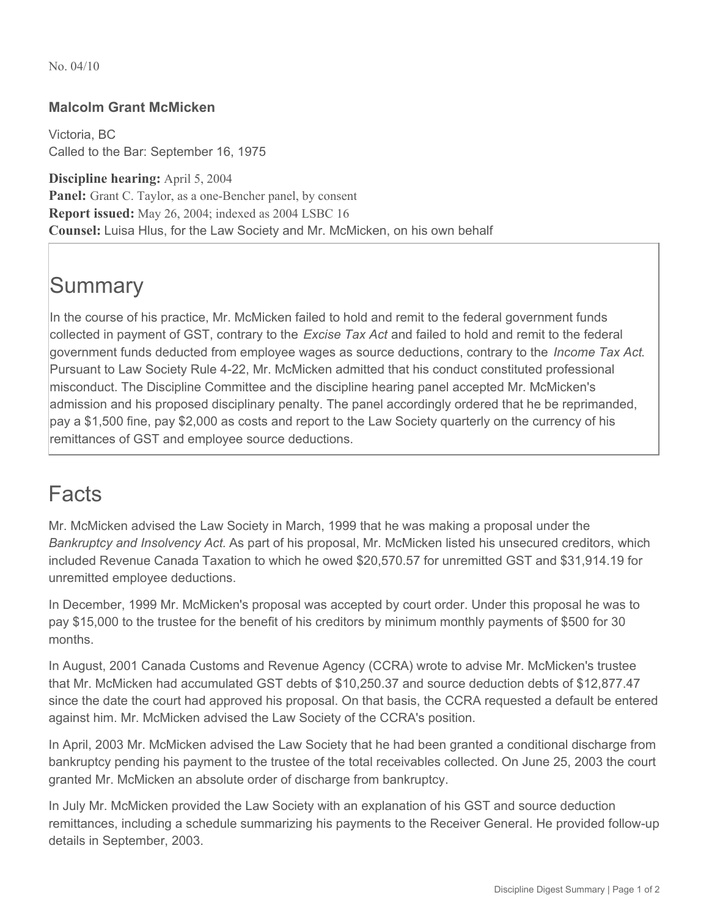No. 04/10

## **Malcolm Grant McMicken**

Victoria, BC Called to the Bar: September 16, 1975

**Discipline hearing:** April 5, 2004 **Panel:** Grant C. Taylor, as a one-Bencher panel, by consent **Report issued:** May 26, 2004; indexed as 2004 LSBC 16 **Counsel:** Luisa Hlus, for the Law Society and Mr. McMicken, on his own behalf

## **Summary**

In the course of his practice, Mr. McMicken failed to hold and remit to the federal government funds collected in payment of GST, contrary to the *Excise Tax Act* and failed to hold and remit to the federal government funds deducted from employee wages as source deductions, contrary to the *Income Tax Act*. Pursuant to Law Society Rule 4-22, Mr. McMicken admitted that his conduct constituted professional misconduct. The Discipline Committee and the discipline hearing panel accepted Mr. McMicken's admission and his proposed disciplinary penalty. The panel accordingly ordered that he be reprimanded, pay a \$1,500 fine, pay \$2,000 as costs and report to the Law Society quarterly on the currency of his remittances of GST and employee source deductions.

## Facts

Mr. McMicken advised the Law Society in March, 1999 that he was making a proposal under the *Bankruptcy and Insolvency Act.* As part of his proposal, Mr. McMicken listed his unsecured creditors, which included Revenue Canada Taxation to which he owed \$20,570.57 for unremitted GST and \$31,914.19 for unremitted employee deductions.

In December, 1999 Mr. McMicken's proposal was accepted by court order. Under this proposal he was to pay \$15,000 to the trustee for the benefit of his creditors by minimum monthly payments of \$500 for 30 months.

In August, 2001 Canada Customs and Revenue Agency (CCRA) wrote to advise Mr. McMicken's trustee that Mr. McMicken had accumulated GST debts of \$10,250.37 and source deduction debts of \$12,877.47 since the date the court had approved his proposal. On that basis, the CCRA requested a default be entered against him. Mr. McMicken advised the Law Society of the CCRA's position.

In April, 2003 Mr. McMicken advised the Law Society that he had been granted a conditional discharge from bankruptcy pending his payment to the trustee of the total receivables collected. On June 25, 2003 the court granted Mr. McMicken an absolute order of discharge from bankruptcy.

In July Mr. McMicken provided the Law Society with an explanation of his GST and source deduction remittances, including a schedule summarizing his payments to the Receiver General. He provided follow-up details in September, 2003.